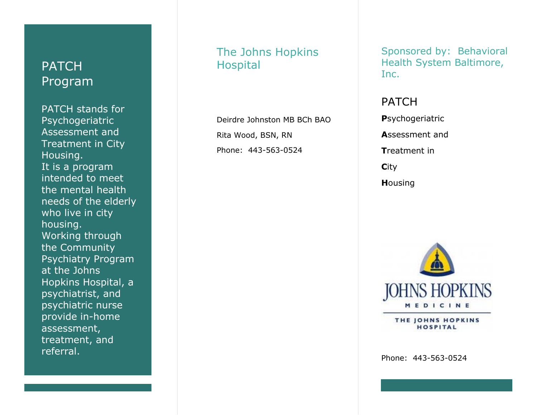## **PATCH** Program

PATCH stands for Psychogeriatric Assessment and Treatment in City Housing. It is a program intended to meet the mental health needs of the elderly who live in city housing. Working through the Community Psychiatry Program at the Johns Hopkins Hospital, a psychiatrist, and psychiatric nurse provide in -home assessment, treatment, and referral.

## The Johns Hopkins Hospital

Deirdre Johnston MB BCh BAO Rita Wood, BSN, RN Phone: 443 -563 -0524

Sponsored by: Behavioral Health System Baltimore, Inc.

PATCH **P**sychogeriatric **A**ssessment and **T**reatment in **C**ity **H**ousing



THE JOHNS HOPKINS **HOSPITAL** 

Phone: 443 -563 -0524